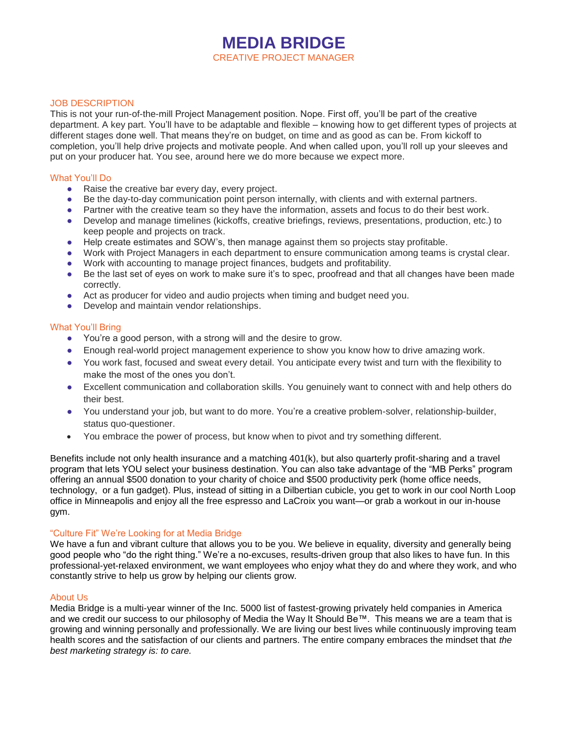# **MEDIA BRIDGE** CREATIVE PROJECT MANAGER

### JOB DESCRIPTION

This is not your run-of-the-mill Project Management position. Nope. First off, you'll be part of the creative department. A key part. You'll have to be adaptable and flexible – knowing how to get different types of projects at different stages done well. That means they're on budget, on time and as good as can be. From kickoff to completion, you'll help drive projects and motivate people. And when called upon, you'll roll up your sleeves and put on your producer hat. You see, around here we do more because we expect more.

### What You'll Do

- Raise the creative bar every day, every project.
- Be the day-to-day communication point person internally, with clients and with external partners.
- Partner with the creative team so they have the information, assets and focus to do their best work.
- Develop and manage timelines (kickoffs, creative briefings, reviews, presentations, production, etc.) to keep people and projects on track.
- Help create estimates and SOW's, then manage against them so projects stay profitable.
- Work with Project Managers in each department to ensure communication among teams is crystal clear.
- Work with accounting to manage project finances, budgets and profitability.
- Be the last set of eyes on work to make sure it's to spec, proofread and that all changes have been made correctly.
- Act as producer for video and audio projects when timing and budget need you.
- Develop and maintain vendor relationships.

#### What You'll Bring

- You're a good person, with a strong will and the desire to grow.
- Enough real-world project management experience to show you know how to drive amazing work.
- You work fast, focused and sweat every detail. You anticipate every twist and turn with the flexibility to make the most of the ones you don't.
- Excellent communication and collaboration skills. You genuinely want to connect with and help others do their best.
- You understand your job, but want to do more. You're a creative problem-solver, relationship-builder, status quo-questioner.
- You embrace the power of process, but know when to pivot and try something different.

Benefits include not only health insurance and a matching 401(k), but also quarterly profit-sharing and a travel program that lets YOU select your business destination. You can also take advantage of the "MB Perks" program offering an annual \$500 donation to your charity of choice and \$500 productivity perk (home office needs, technology, or a fun gadget). Plus, instead of sitting in a Dilbertian cubicle, you get to work in our cool North Loop office in Minneapolis and enjoy all the free espresso and LaCroix you want—or grab a workout in our in-house gym.

## "Culture Fit" We're Looking for at Media Bridge

We have a fun and vibrant culture that allows you to be you. We believe in equality, diversity and generally being good people who "do the right thing." We're a no-excuses, results-driven group that also likes to have fun. In this professional-yet-relaxed environment, we want employees who enjoy what they do and where they work, and who constantly strive to help us grow by helping our clients grow.

## About Us

Media Bridge is a multi-year winner of the Inc. 5000 list of fastest-growing privately held companies in America and we credit our success to our philosophy of Media the Way It Should Be™. This means we are a team that is growing and winning personally and professionally. We are living our best lives while continuously improving team health scores and the satisfaction of our clients and partners. The entire company embraces the mindset that *the best marketing strategy is: to care.*